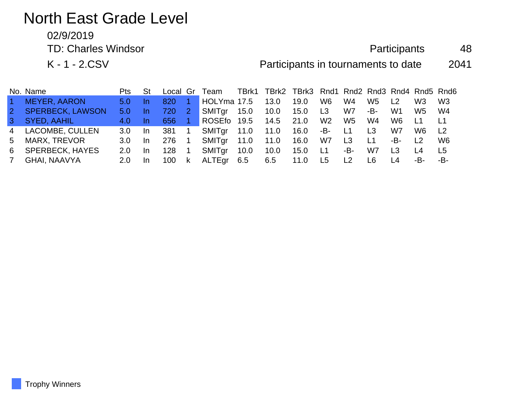# North East Grade Level

02/9/2019

TD: Charles Windsor **Participants** 48

K - 1 - 2.CSV **Participants in tournaments to date** 2041

|                | No. Name                | Pts St         |     |       | Local Gr Team TBrk1 TBrk2 TBrk3 Rnd1 Rnd2 Rnd3 Rnd4 Rnd5 Rnd6 |      |      |                 |       |                |     |                |                |                |
|----------------|-------------------------|----------------|-----|-------|---------------------------------------------------------------|------|------|-----------------|-------|----------------|-----|----------------|----------------|----------------|
| $\sim$         | <b>MEYER, AARON</b>     | 5.0            |     | 820   | HOLYma 17.5                                                   |      | 13.0 | 19.0            | W6    | W4             | W5  | L <sub>2</sub> | W <sub>3</sub> | W <sub>3</sub> |
| 2 <sup>2</sup> | <b>SPERBECK, LAWSON</b> | $5.0 -$        |     |       | SMITgr 15.0 10.0                                              |      |      | 15.0 L3         |       | W7             | -B- | W1             | W5             | - W4           |
|                | 3 SYED, AAHIL           | 4.0            | -In | 656 1 | ROSEfo 19.5 14.5 21.0                                         |      |      |                 | W2    | W5             | W4  | W6             | ⊥L1            | L <sub>1</sub> |
|                | 4 LACOMBE, CULLEN       | 3.0            | -In | 381 1 | SMITgr 11.0 11.0                                              |      |      | $16.0 - B - L1$ |       |                | L3  | W7             | W <sub>6</sub> | L <sub>2</sub> |
|                | 5 MARX, TREVOR          | $3.0 \quad$ In |     | 276 1 | SMITgr 11.0 11.0                                              |      |      | 16.0            | W7 L3 |                | L1  | -B- L2         |                | W6             |
|                | 6 SPERBECK, HAYES       | 2.0            | -In | 128 1 | SMITgr                                                        | 10.0 | 10.0 | 15.0 L1         |       | -B-            | W7  | L <sub>3</sub> | L <sub>4</sub> | L5             |
| <b>7</b>       | GHAI, NAAVYA            | 2.0            | -In | 100 k | ALTEgr 6.5                                                    |      | 6.5  | 11.0 L5         |       | L <sub>2</sub> | L6  | L <sub>4</sub> | -B-            | -B-            |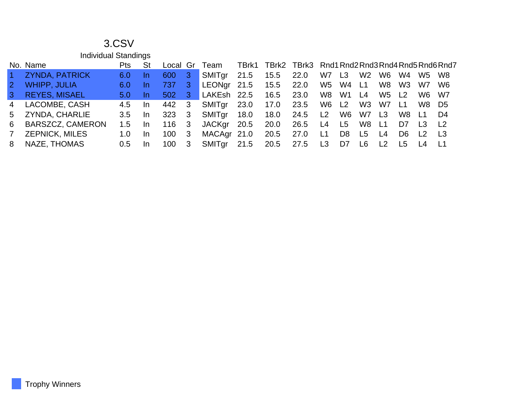|                | <b>Individual Standings</b> |            |           |                  |     |               |       |                                                |      |                |                |                |                |                |                |                |
|----------------|-----------------------------|------------|-----------|------------------|-----|---------------|-------|------------------------------------------------|------|----------------|----------------|----------------|----------------|----------------|----------------|----------------|
|                | No. Name                    | <b>Pts</b> | St        | Local            | Gr  | Team          | TBrk1 | TBrk2 TBrk3 Rnd1 Rnd2 Rnd3 Rnd4 Rnd5 Rnd6 Rnd7 |      |                |                |                |                |                |                |                |
| $\vert$ 1      | <b>ZYNDA, PATRICK</b>       | 6.0        | In        | 600              | 3   | SMITgr        | 21.5  | 15.5                                           | 22.0 | W7             | L <sub>3</sub> | W <sub>2</sub> | W6.            | W4             | W5             | W8             |
| $\overline{2}$ | <b>WHIPP, JULIA</b>         | 6.0        | In        | 737              | 3.  | <b>LEONgr</b> | 21.5  | 15.5                                           | 22.0 | W5             | W4             | L1             | W8             | W3             | W7             | W <sub>6</sub> |
| 3              | <b>REYES, MISAEL</b>        | 5.0        | In        | 502 <sub>2</sub> | 3   | LAKEsh 22.5   |       | 16.5                                           | 23.0 | W8             | W1             | L4             | W5             | L <sub>2</sub> | W6             | W7             |
| 4              | LACOMBE, CASH               | 4.5        | <u>In</u> | 442              | -3  | SMITgr        | 23.0  | 17.0                                           | 23.5 | W6             | L2             | W <sub>3</sub> | W7             | L1             | W8             | D5             |
| 5              | <b>ZYNDA, CHARLIE</b>       | 3.5        | -In       | 323              | 3   | SMITgr        | 18.0  | 18.0                                           | 24.5 | L2             | W6             | W7             | L <sub>3</sub> | W8             | L1             | D4             |
| 6              | <b>BARSZCZ, CAMERON</b>     | 1.5        | <b>In</b> | 116              | - 3 | <b>JACKgr</b> | 20.5  | 20.0                                           | 26.5 | L4             | L5             | W8             | L1             | D7             | L <sub>3</sub> | L <sub>2</sub> |
| 7 <sup>7</sup> | <b>ZEPNICK, MILES</b>       | 1.0        | -In       | 100              | 3   | MACAgr 21.0   |       | 20.5                                           | 27.0 | L1             | D <sub>8</sub> | L <sub>5</sub> | L4             | D <sub>6</sub> | L <sub>2</sub> | L3             |
| 8              | NAZE, THOMAS                | 0.5        | <b>In</b> | 100              | 3   | SMITgr        | 21.5  | 20.5                                           | 27.5 | L <sub>3</sub> | D7             | L6             | L <sub>2</sub> | L5             | L4             | - L1           |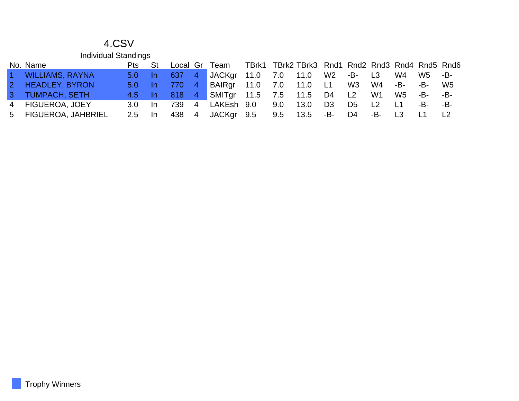|                   | <b>Individual Standings</b> |                |           |          |                |                         |     |                                                 |                |                |     |        |     |     |
|-------------------|-----------------------------|----------------|-----------|----------|----------------|-------------------------|-----|-------------------------------------------------|----------------|----------------|-----|--------|-----|-----|
|                   | No. Name                    | Pts            | <b>St</b> | Local Gr |                | Team                    |     | TBrk1 TBrk2 TBrk3 Rnd1 Rnd2 Rnd3 Rnd4 Rnd5 Rnd6 |                |                |     |        |     |     |
| $\sim$            | <b>WILLIAMS, RAYNA</b>      | $5.0 \quad$ In |           | 637      | $\sqrt{4}$     | JACKgr 11.0 7.0         |     | 11.0                                            |                | W2 -B- L3      |     | W4     | W5  | -B- |
| $\vert 2 \rangle$ | <b>HEADLEY, BYRON</b>       | $5.0 \quad$ In |           | 770      | $-4$           | BAIRgr 11.0 7.0         |     | 11.0 L1                                         |                | W3             | W4  | $-B-$  | -B- | W5  |
|                   | 3 TUMPACH, SETH             | $4.5$ In       |           | 818 4    |                | SMITgr 11.5 7.5 11.5 D4 |     |                                                 |                | L2             | W1  | W5     | -B- | -B- |
|                   | 4 FIGUEROA, JOEY            | 3.0            | -In       | 739      | $\overline{4}$ | LAKEsh 9.0              | 9.0 | 13.0                                            | D <sub>3</sub> | D <sub>5</sub> | L2  | L1     | -B- | -B- |
|                   | 5 FIGUEROA, JAHBRIEL        | $2.5$ In       |           |          |                |                         | 9.5 | 13.5                                            | -B-            | D4             | -B- | $\Box$ |     |     |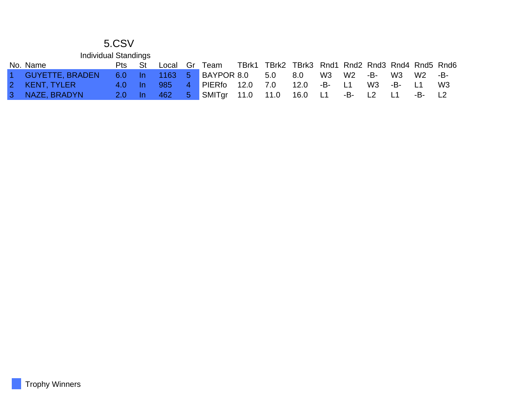| <b>Individual Standings</b> |               |      |       |                |                   |      |                                                 |         |        |        |           |     |            |
|-----------------------------|---------------|------|-------|----------------|-------------------|------|-------------------------------------------------|---------|--------|--------|-----------|-----|------------|
| No. Name                    | Pts           | – St | Local |                | Gr Team           |      | TBrk1 TBrk2 TBrk3 Rnd1 Rnd2 Rnd3 Rnd4 Rnd5 Rnd6 |         |        |        |           |     |            |
| 1 GUYETTE, BRADEN           | $6.0$ In      |      |       |                | 1163 5 BAYPOR 8.0 |      | 5.0                                             | 8.0     | W3     | W2 -B- | W3        | W2  | -B-        |
| 2 KENT, TYLER               | $-4.0$        | – In | 985   | 4 <sup>1</sup> | PIERfo            | 12.0 | 7.0                                             | 12.0    | -B- L1 |        | W3 -B- L1 |     | W3         |
| 3 NAZE, BRADYN              | $/2.0$ In $/$ |      | -462  | $5 -$          | SMITgr 11.0       |      | 11.0                                            | 16.0 L1 |        | -B- L2 | - L1      | -B- | $\vert$ 12 |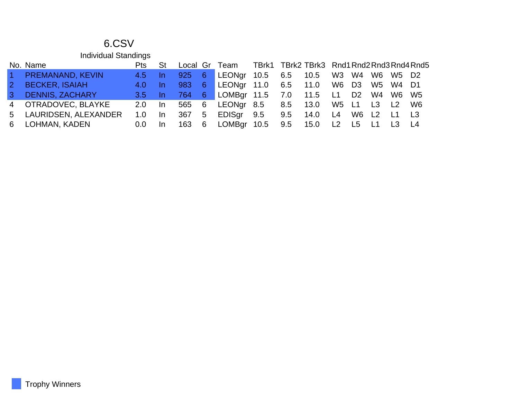|                | <b>Individual Standings</b> |            |      |     |                |                                          |                                            |  |                |  |             |  |
|----------------|-----------------------------|------------|------|-----|----------------|------------------------------------------|--------------------------------------------|--|----------------|--|-------------|--|
|                | No. Name                    | <b>Pts</b> | St   |     |                | Local Gr Team                            | TBrk1 TBrk2 TBrk3 Rnd1 Rnd2 Rnd3 Rnd4 Rnd5 |  |                |  |             |  |
| $\sim$ 1       | <b>PREMANAND, KEVIN</b>     | 4.5        | In.  | 925 | $6^{\circ}$    | LEONgr 10.5 6.5 10.5 W3 W4 W6 W5 D2      |                                            |  |                |  |             |  |
| $\overline{2}$ | <b>BECKER, ISAIAH</b>       | 4.0        | In.  | 983 | 6 <sup>°</sup> | LEONgr 11.0 6.5 11.0 W6 D3 W5 W4 D1      |                                            |  |                |  |             |  |
| $\mathbf{3}$   | <b>DENNIS, ZACHARY</b>      | 3.5        | In.  | 764 |                | 6 LOMBgr 11.5 7.0 11.5 L1 D2 W4 W6 W5    |                                            |  |                |  |             |  |
|                | 4 OTRADOVEC, BLAYKE         | 2.0        | - In |     |                | 565 6 LEONgr 8.5 8.5 13.0 W5 L1 L3 L2 W6 |                                            |  |                |  |             |  |
|                | 5 LAURIDSEN, ALEXANDER      | 1.0        | In.  | 367 | 5 <sup>5</sup> | EDISgr 9.5 9.5 14.0                      |                                            |  | L <sub>4</sub> |  | W6 L2 L1 L3 |  |
|                | 6 LOHMAN, KADEN             | 0.0        | In.  | 163 | 6              | LOMBgr 10.5 9.5 15.0 L2 L5 L1            |                                            |  |                |  | L3 L4       |  |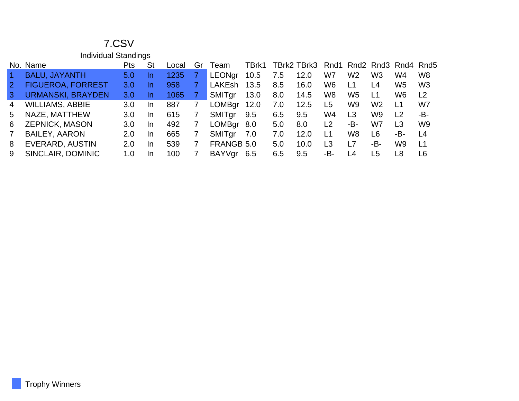|                      | <b>Individual Standings</b> |            |           |       |    |               |       |     |             |                |                          |                |                |                |
|----------------------|-----------------------------|------------|-----------|-------|----|---------------|-------|-----|-------------|----------------|--------------------------|----------------|----------------|----------------|
|                      | No. Name                    | <b>Pts</b> | <b>St</b> | Local | Gr | Team          | TBrk1 |     | TBrk2 TBrk3 |                | Rnd1 Rnd2 Rnd3 Rnd4 Rnd5 |                |                |                |
| $\blacktriangleleft$ | <b>BALU, JAYANTH</b>        | 5.0        | In        | 1235  |    | LEONgr        | 10.5  | 7.5 | 12.0        | W7             | W <sub>2</sub>           | W <sub>3</sub> | W4             | W <sub>8</sub> |
| $\mathbf{2}$         | <b>FIGUEROA, FORREST</b>    | 3.0        | In.       | 958   |    | <b>LAKEsh</b> | 13.5  | 8.5 | 16.0        | W <sub>6</sub> | L1                       | L4             | W <sub>5</sub> | W <sub>3</sub> |
| 3                    | <b>URMANSKI, BRAYDEN</b>    | 3.0        | <u>In</u> | 1065  |    | SMITgr        | 13.0  | 8.0 | 14.5        | W8             | W <sub>5</sub>           | L1             | W <sub>6</sub> | L <sub>2</sub> |
| 4                    | <b>WILLIAMS, ABBIE</b>      | 3.0        | <b>In</b> | 887   |    | <b>LOMBgr</b> | 12.0  | 7.0 | 12.5        | L5             | W <sub>9</sub>           | W <sub>2</sub> | L1             | W7             |
| 5                    | NAZE, MATTHEW               | 3.0        | In.       | 615   |    | SMITgr        | 9.5   | 6.5 | 9.5         | W4             | L <sub>3</sub>           | W9             | L2             | -B-            |
| 6                    | <b>ZEPNICK, MASON</b>       | 3.0        | In.       | 492   |    | <b>LOMBgr</b> | 8.0   | 5.0 | 8.0         | L2             | -В-                      | W7             | L <sub>3</sub> | W <sub>9</sub> |
| $\overline{7}$       | <b>BAILEY, AARON</b>        | 2.0        | In.       | 665   |    | SMITgr        | 7.0   | 7.0 | 12.0        | L1             | W <sub>8</sub>           | L6             | -B-            | L4             |
| 8                    | EVERARD, AUSTIN             | 2.0        | In        | 539   |    | FRANGB 5.0    |       | 5.0 | 10.0        | L <sub>3</sub> | L7                       | -В-            | W <sub>9</sub> | L1             |
| 9                    | SINCLAIR, DOMINIC           | 1.0        | In        | 100   |    | BAYVgr        | 6.5   | 6.5 | 9.5         | -В-            | L4                       | L <sub>5</sub> | L <sub>8</sub> | L <sub>6</sub> |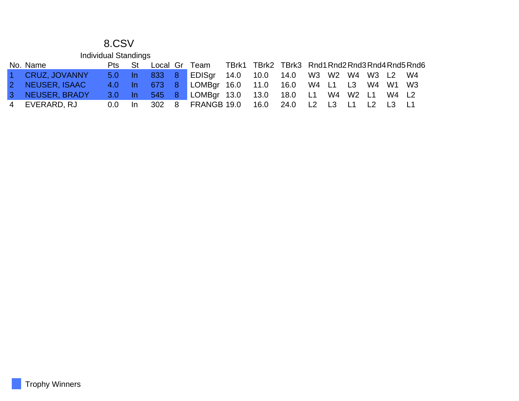|           | <b>Individual Standings</b> |                  |       |          |                |                  |                                                 |                     |                |                |                |                |       |    |
|-----------|-----------------------------|------------------|-------|----------|----------------|------------------|-------------------------------------------------|---------------------|----------------|----------------|----------------|----------------|-------|----|
|           | No. Name                    | <b>Pts</b>       | St    | Local Gr |                | Team             | TBrk1 TBrk2 TBrk3 Rnd1 Rnd2 Rnd3 Rnd4 Rnd5 Rnd6 |                     |                |                |                |                |       |    |
| $1 -$     | <b>CRUZ, JOVANNY</b>        | $5.0 \quad$ In   |       | 833 8    |                | EDISgr 14.0 10.0 |                                                 | 14.0 W3 W2 W4 W3 L2 |                |                |                |                |       | W4 |
| $2 -$     | <b>NEUSER, ISAAC</b>        | $4.0-$           | – In  | 673 8    |                | LOMBgr 16.0 11.0 |                                                 | 16.0 W4 L1 L3       |                |                |                | W4 W1          |       | W3 |
| 3         | NEUSER, BRADY               | 3.0 <sub>1</sub> | $\ln$ | 545 8    |                | LOMBgr 13.0      | 13.0                                            | 18.0 L1             |                | W4 W2 L1       |                |                | W4 L2 |    |
| $4 \quad$ | EVERARD, RJ                 | 0.0 <sub>1</sub> | In    | 302      | 8 <sup>8</sup> | FRANGB 19.0      | 16.0                                            | 24.0                | L <sub>2</sub> | L <sub>3</sub> | L <sub>1</sub> | L <sub>2</sub> |       |    |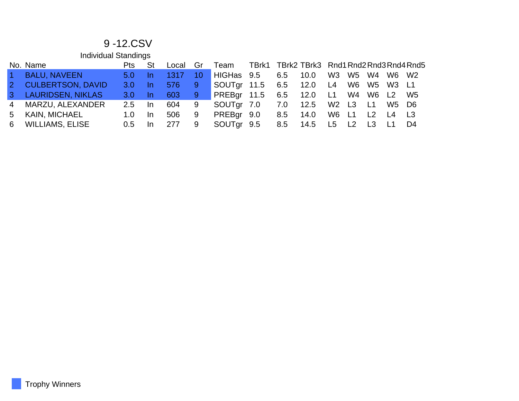#### 9 -12.CSV

|        | <b>Individual Standings</b> |                  |     |       |                 |             |                                            |     |      |                |                |    |       |    |
|--------|-----------------------------|------------------|-----|-------|-----------------|-------------|--------------------------------------------|-----|------|----------------|----------------|----|-------|----|
|        | No. Name                    | Pts              | St  | Local | Gr              | Team        | TBrk1 TBrk2 TBrk3 Rnd1 Rnd2 Rnd3 Rnd4 Rnd5 |     |      |                |                |    |       |    |
| $\sim$ | <b>BALU, NAVEEN</b>         | 5.0 <sub>1</sub> | In. | 1317  | 10 <sub>l</sub> | HIGHas 9.5  |                                            | 6.5 | 10.0 | W <sub>3</sub> | W5 W4          |    | W6 W2 |    |
|        | 2 CULBERTSON, DAVID         | 3.0 <sub>1</sub> | In. | 576   | 9               | SOUTgr 11.5 |                                            | 6.5 | 12.0 | $\sim$ L4      | W6 W5 W3 L1    |    |       |    |
|        | 3 LAURIDSEN, NIKLAS         | 3.0 <sub>1</sub> | In. | 603   | $9^{\circ}$     | PREBgr 11.5 |                                            | 6.5 | 12.0 | L1             | W4 W6 L2       |    |       | W5 |
|        | 4 MARZU, ALEXANDER          | $2.5^{\circ}$    | In. | 604   | 9               | SOUTgr 7.0  |                                            | 7.0 | 12.5 |                | W2 L3 L1       |    | W5 D6 |    |
| $5 -$  | KAIN, MICHAEL               | 1.0              | In. | 506   | 9               | PREBgr 9.0  |                                            | 8.5 | 14.0 | W6 L1          |                | L2 | L4 L3 |    |
|        | 6 WILLIAMS, ELISE           | $0.5^{\circ}$    | In. | 277   | 9               | SOUTgr 9.5  |                                            | 8.5 | 14.5 | L5             | L <sub>2</sub> | L3 |       | D4 |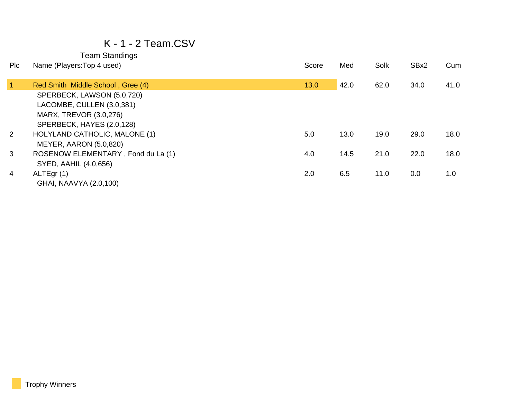#### K - 1 - 2 Team.CSV

| <b>PIC</b>     | Name (Players: Top 4 used)         | Score | Med  | Solk | SBx2 | Cum  |
|----------------|------------------------------------|-------|------|------|------|------|
|                |                                    |       |      |      |      |      |
| $\overline{1}$ | Red Smith Middle School, Gree (4)  | 13.0  | 42.0 | 62.0 | 34.0 | 41.0 |
|                | SPERBECK, LAWSON (5.0,720)         |       |      |      |      |      |
|                | LACOMBE, CULLEN (3.0,381)          |       |      |      |      |      |
|                | MARX, TREVOR (3.0,276)             |       |      |      |      |      |
|                | SPERBECK, HAYES (2.0,128)          |       |      |      |      |      |
| 2              | HOLYLAND CATHOLIC, MALONE (1)      | 5.0   | 13.0 | 19.0 | 29.0 | 18.0 |
|                | MEYER, AARON (5.0,820)             |       |      |      |      |      |
| 3              | ROSENOW ELEMENTARY, Fond du La (1) | 4.0   | 14.5 | 21.0 | 22.0 | 18.0 |
|                | SYED, AAHIL (4.0,656)              |       |      |      |      |      |
| 4              | ALTEgr(1)                          | 2.0   | 6.5  | 11.0 | 0.0  | 1.0  |
|                | GHAI, NAAVYA (2.0,100)             |       |      |      |      |      |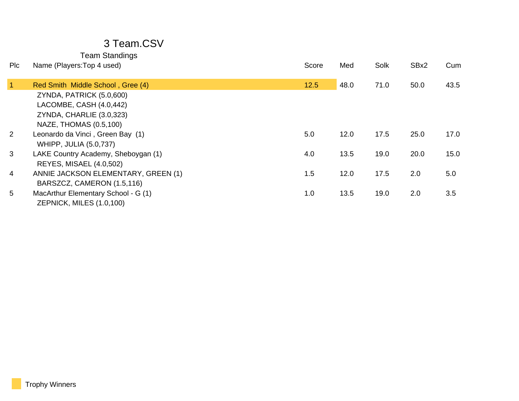| <b>PIc</b>           | Name (Players: Top 4 used)          | Score | Med  | Solk | SBx2 | Cum  |
|----------------------|-------------------------------------|-------|------|------|------|------|
| $\blacktriangleleft$ | Red Smith Middle School, Gree (4)   | 12.5  | 48.0 | 71.0 | 50.0 | 43.5 |
|                      | ZYNDA, PATRICK (5.0,600)            |       |      |      |      |      |
|                      | LACOMBE, CASH (4.0,442)             |       |      |      |      |      |
|                      | ZYNDA, CHARLIE (3.0,323)            |       |      |      |      |      |
|                      | NAZE, THOMAS (0.5,100)              |       |      |      |      |      |
| 2                    | Leonardo da Vinci, Green Bay (1)    | 5.0   | 12.0 | 17.5 | 25.0 | 17.0 |
|                      | <b>WHIPP, JULIA (5.0,737)</b>       |       |      |      |      |      |
| 3                    | LAKE Country Academy, Sheboygan (1) | 4.0   | 13.5 | 19.0 | 20.0 | 15.0 |
|                      | <b>REYES, MISAEL (4.0,502)</b>      |       |      |      |      |      |
| 4                    | ANNIE JACKSON ELEMENTARY, GREEN (1) | 1.5   | 12.0 | 17.5 | 2.0  | 5.0  |
|                      | BARSZCZ, CAMERON (1.5,116)          |       |      |      |      |      |
| 5                    | MacArthur Elementary School - G (1) | 1.0   | 13.5 | 19.0 | 2.0  | 3.5  |
|                      | ZEPNICK, MILES (1.0,100)            |       |      |      |      |      |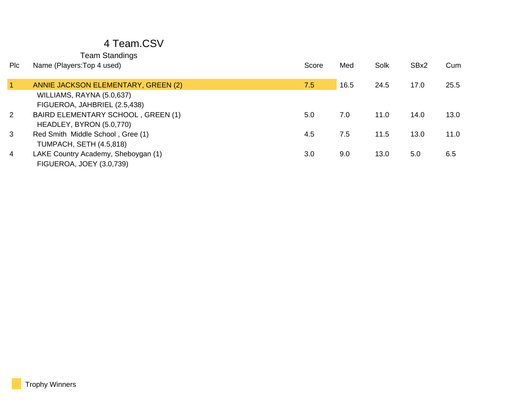| <b>PIc</b>           | Name (Players: Top 4 used)          | Score | Med  | Solk | SBx2 | Cum  |
|----------------------|-------------------------------------|-------|------|------|------|------|
| $\blacktriangleleft$ | ANNIE JACKSON ELEMENTARY, GREEN (2) | 7.5   | 16.5 | 24.5 | 17.0 | 25.5 |
|                      | WILLIAMS, RAYNA (5.0,637)           |       |      |      |      |      |
|                      | FIGUEROA, JAHBRIEL (2.5,438)        |       |      |      |      |      |
| $\overline{2}$       | BAIRD ELEMENTARY SCHOOL, GREEN (1)  | 5.0   | 7.0  | 11.0 | 14.0 | 13.0 |
|                      | HEADLEY, BYRON (5.0,770)            |       |      |      |      |      |
| 3                    | Red Smith Middle School, Gree (1)   | 4.5   | 7.5  | 11.5 | 13.0 | 11.0 |
|                      | <b>TUMPACH, SETH (4.5,818)</b>      |       |      |      |      |      |
| 4                    | LAKE Country Academy, Sheboygan (1) | 3.0   | 9.0  | 13.0 | 5.0  | 6.5  |
|                      | FIGUEROA, JOEY (3.0,739)            |       |      |      |      |      |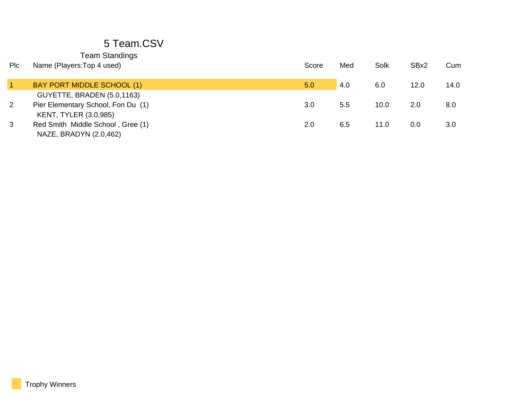| <b>Team Standings</b> |
|-----------------------|
|-----------------------|

| Plc            | Name (Players: Top 4 used)                                         | Score | Med | Solk | SBx2 | Cum  |
|----------------|--------------------------------------------------------------------|-------|-----|------|------|------|
|                | BAY PORT MIDDLE SCHOOL (1)                                         | 5.0   | 4.0 | 6.0  | 12.0 | 14.0 |
|                | GUYETTE, BRADEN (5.0,1163)                                         |       |     |      |      |      |
| $\overline{2}$ | Pier Elementary School, Fon Du (1)<br><b>KENT, TYLER (3.0,985)</b> | 3.0   | 5.5 | 10.0 | 2.0  | 8.0  |
| 3              | Red Smith Middle School, Gree (1)<br>NAZE, BRADYN (2.0,462)        | 2.0   | 6.5 | 11.0 | 0.0  | 3.0  |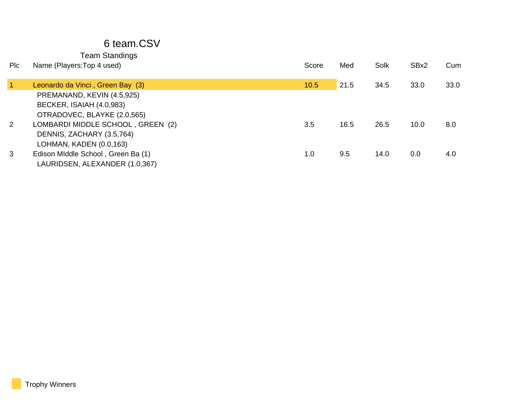#### 6 team.CSV

| <b>PIC</b>           | Name (Players: Top 4 used)                                           | Score | Med  | Solk | SBx2 | Cum  |
|----------------------|----------------------------------------------------------------------|-------|------|------|------|------|
| $\blacktriangleleft$ | Leonardo da Vinci, Green Bay (3)                                     | 10.5  | 21.5 | 34.5 | 33.0 | 33.0 |
|                      | PREMANAND, KEVIN (4.5,925)                                           |       |      |      |      |      |
|                      | BECKER, ISAIAH (4.0,983)<br>OTRADOVEC, BLAYKE (2.0,565)              |       |      |      |      |      |
| 2                    | LOMBARDI MIDDLE SCHOOL, GREEN (2)<br>DENNIS, ZACHARY (3.5,764)       | 3.5   | 16.5 | 26.5 | 10.0 | 8.0  |
|                      | LOHMAN, KADEN (0.0,163)                                              |       |      |      |      |      |
| 3                    | Edison MIddle School, Green Ba (1)<br>LAURIDSEN, ALEXANDER (1.0,367) | 1.0   | 9.5  | 14.0 | 0.0  | 4.0  |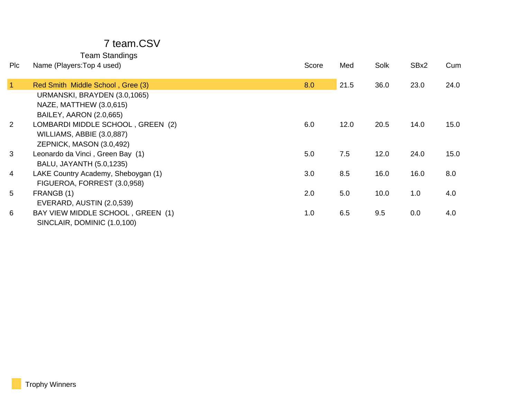#### 7 team.CSV

| Plc             | Name (Players: Top 4 used)          | Score | Med  | Solk | SBx2 | Cum  |
|-----------------|-------------------------------------|-------|------|------|------|------|
| $\overline{1}$  | Red Smith Middle School, Gree (3)   | 8.0   | 21.5 | 36.0 | 23.0 | 24.0 |
|                 | URMANSKI, BRAYDEN (3.0,1065)        |       |      |      |      |      |
|                 | NAZE, MATTHEW (3.0,615)             |       |      |      |      |      |
|                 | <b>BAILEY, AARON (2.0,665)</b>      |       |      |      |      |      |
| $\overline{2}$  | LOMBARDI MIDDLE SCHOOL, GREEN (2)   | 6.0   | 12.0 | 20.5 | 14.0 | 15.0 |
|                 | WILLIAMS, ABBIE (3.0,887)           |       |      |      |      |      |
|                 | ZEPNICK, MASON (3.0,492)            |       |      |      |      |      |
| 3               | Leonardo da Vinci, Green Bay (1)    | 5.0   | 7.5  | 12.0 | 24.0 | 15.0 |
|                 | BALU, JAYANTH (5.0,1235)            |       |      |      |      |      |
| 4               | LAKE Country Academy, Sheboygan (1) | 3.0   | 8.5  | 16.0 | 16.0 | 8.0  |
|                 | FIGUEROA, FORREST (3.0,958)         |       |      |      |      |      |
| $5\overline{)}$ | FRANGB (1)                          | 2.0   | 5.0  | 10.0 | 1.0  | 4.0  |
|                 | EVERARD, AUSTIN (2.0,539)           |       |      |      |      |      |
| 6               | BAY VIEW MIDDLE SCHOOL, GREEN (1)   | 1.0   | 6.5  | 9.5  | 0.0  | 4.0  |
|                 | SINCLAIR, DOMINIC (1.0,100)         |       |      |      |      |      |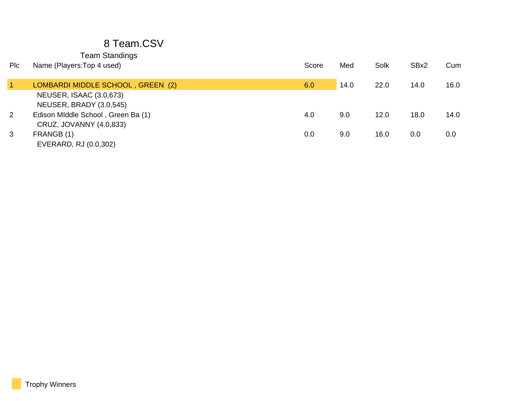| <b>Plc</b> | Name (Players: Top 4 used)                                    | Score | Med  | Solk | SBx2 | Cum  |
|------------|---------------------------------------------------------------|-------|------|------|------|------|
|            | LOMBARDI MIDDLE SCHOOL, GREEN (2)                             | 6.0   | 14.0 | 22.0 | 14.0 | 16.0 |
|            | NEUSER, ISAAC (3.0,673)<br>NEUSER, BRADY (3.0,545)            |       |      |      |      |      |
| 2          | Edison MIddle School, Green Ba (1)<br>CRUZ, JOVANNY (4.0,833) | 4.0   | 9.0  | 12.0 | 18.0 | 14.0 |
| 3          | FRANGB (1)<br>EVERARD, RJ (0.0,302)                           | 0.0   | 9.0  | 16.0 | 0.0  | 0.0  |